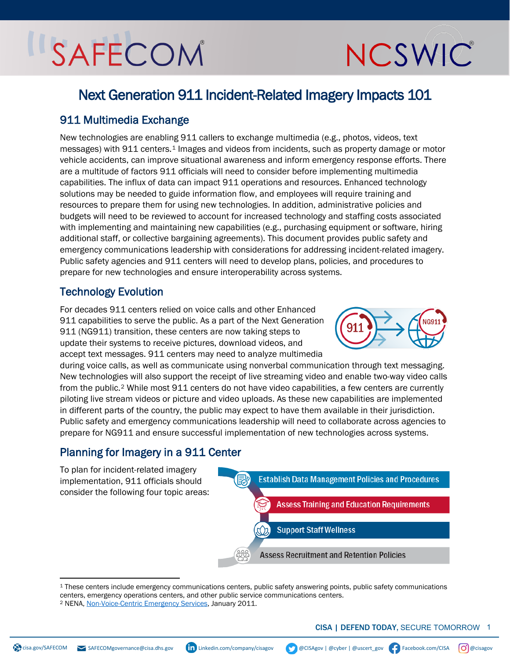## SAFECOM

# NCSWIC

### Next Generation 911 Incident-Related Imagery Impacts 101

#### 911 Multimedia Exchange

New technologies are enabling 911 callers to exchange multimedia (e.g., photos, videos, text messages) with 9[1](#page-0-0)1 centers.<sup>1</sup> Images and videos from incidents, such as property damage or motor vehicle accidents, can improve situational awareness and inform emergency response efforts. There are a multitude of factors 911 officials will need to consider before implementing multimedia capabilities. The influx of data can impact 911 operations and resources. Enhanced technology solutions may be needed to guide information flow, and employees will require training and resources to prepare them for using new technologies. In addition, administrative policies and budgets will need to be reviewed to account for increased technology and staffing costs associated with implementing and maintaining new capabilities (e.g., purchasing equipment or software, hiring additional staff, or collective bargaining agreements). This document provides public safety and emergency communications leadership with considerations for addressing incident-related imagery. Public safety agencies and 911 centers will need to develop plans, policies, and procedures to prepare for new technologies and ensure interoperability across systems.

#### Technology Evolution

For decades 911 centers relied on voice calls and other Enhanced 911 capabilities to serve the public. As a part of the Next Generation 911 (NG911) transition, these centers are now taking steps to update their systems to receive pictures, download videos, and accept text messages. 911 centers may need to analyze multimedia



during voice calls, as well as communicate using nonverbal communication through text messaging. New technologies will also support the receipt of live streaming video and enable two-way video calls from the public.<sup>[2](#page-0-1)</sup> While most 911 centers do not have video capabilities, a few centers are currently piloting live stream videos or picture and video uploads. As these new capabilities are implemented in different parts of the country, the public may expect to have them available in their jurisdiction. Public safety and emergency communications leadership will need to collaborate across agencies to prepare for NG911 and ensure successful implementation of new technologies across systems.

#### Planning for Imagery in a 911 Center



<span id="page-0-0"></span><sup>1</sup> These centers include emergency communications centers, public safety answering points, public safety communications centers, emergency operations centers, and other public service communications centers.

<span id="page-0-1"></span><sup>2</sup> NENA, [Non-Voice-Centric Emergency Services,](https://www.nena.org/page/NG_NonVoiceEmergSvc?&hhsearchterms=%22multimedia%22) January 2011.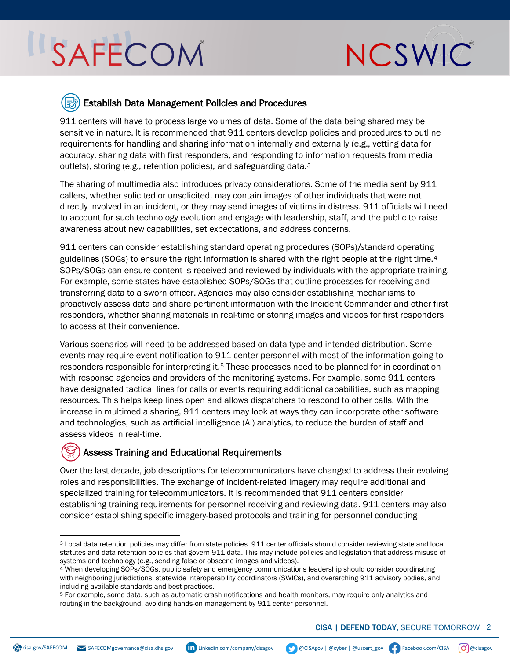### SAFECOM



#### Establish Data Management Policies and Procedures

911 centers will have to process large volumes of data. Some of the data being shared may be sensitive in nature. It is recommended that 911 centers develop policies and procedures to outline requirements for handling and sharing information internally and externally (e.g., vetting data for accuracy, sharing data with first responders, and responding to information requests from media outlets), storing (e.g., retention policies), and safeguarding data.[3](#page-1-0)

The sharing of multimedia also introduces privacy considerations. Some of the media sent by 911 callers, whether solicited or unsolicited, may contain images of other individuals that were not directly involved in an incident, or they may send images of victims in distress. 911 officials will need to account for such technology evolution and engage with leadership, staff, and the public to raise awareness about new capabilities, set expectations, and address concerns.

911 centers can consider establishing standard operating procedures (SOPs)/standard operating guidelines (SOGs) to ensure the right information is shared with the right people at the right time.<sup>[4](#page-1-1)</sup> SOPs/SOGs can ensure content is received and reviewed by individuals with the appropriate training. For example, some states have established SOPs/SOGs that outline processes for receiving and transferring data to a sworn officer. Agencies may also consider establishing mechanisms to proactively assess data and share pertinent information with the Incident Commander and other first responders, whether sharing materials in real-time or storing images and videos for first responders to access at their convenience.

Various scenarios will need to be addressed based on data type and intended distribution. Some events may require event notification to 911 center personnel with most of the information going to responders responsible for interpreting it.<sup>[5](#page-1-2)</sup> These processes need to be planned for in coordination with response agencies and providers of the monitoring systems. For example, some 911 centers have designated tactical lines for calls or events requiring additional capabilities, such as mapping resources. This helps keep lines open and allows dispatchers to respond to other calls. With the increase in multimedia sharing, 911 centers may look at ways they can incorporate other software and technologies, such as artificial intelligence (AI) analytics, to reduce the burden of staff and assess videos in real-time.

#### Assess Training and Educational Requirements

Over the last decade, job descriptions for telecommunicators have changed to address their evolving roles and responsibilities. The exchange of incident-related imagery may require additional and specialized training for telecommunicators. It is recommended that 911 centers consider establishing training requirements for personnel receiving and reviewing data. 911 centers may also consider establishing specific imagery-based protocols and training for personnel conducting

<span id="page-1-0"></span><sup>3</sup> Local data retention policies may differ from state policies. 911 center officials should consider reviewing state and local statutes and data retention policies that govern 911 data. This may include policies and legislation that address misuse of systems and technology (e.g., sending false or obscene images and videos).<br>4 When developing SOPs/SOGs, public safety and emergency communications leadership should consider coordinating

<span id="page-1-1"></span>with neighboring jurisdictions, statewide interoperability coordinators (SWICs), and overarching 911 advisory bodies, and including available standards and best practices.<br>5 For example, some data, such as automatic crash notifications and health monitors, may require only analytics and

<span id="page-1-2"></span>routing in the background, avoiding hands-on management by 911 center personnel.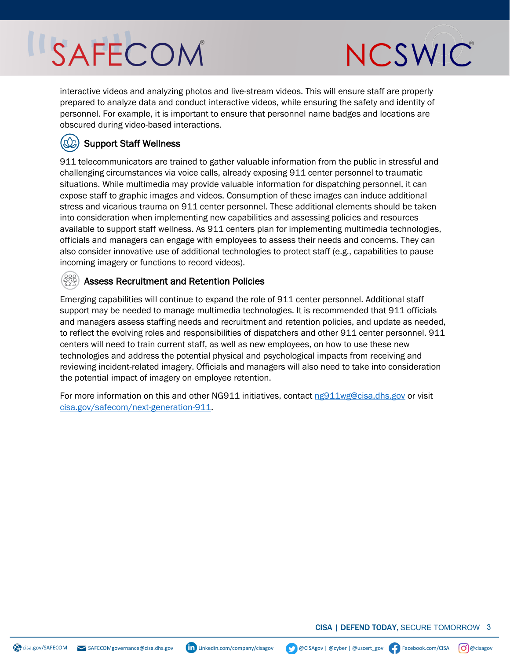### SAFECOM



interactive videos and analyzing photos and live-stream videos. This will ensure staff are properly prepared to analyze data and conduct interactive videos, while ensuring the safety and identity of personnel. For example, it is important to ensure that personnel name badges and locations are obscured during video-based interactions.

#### Support Staff Wellness

911 telecommunicators are trained to gather valuable information from the public in stressful and challenging circumstances via voice calls, already exposing 911 center personnel to traumatic situations. While multimedia may provide valuable information for dispatching personnel, it can expose staff to graphic images and videos. Consumption of these images can induce additional stress and vicarious trauma on 911 center personnel. These additional elements should be taken into consideration when implementing new capabilities and assessing policies and resources available to support staff wellness. As 911 centers plan for implementing multimedia technologies, officials and managers can engage with employees to assess their needs and concerns. They can also consider innovative use of additional technologies to protect staff (e.g., capabilities to pause incoming imagery or functions to record videos).

#### Assess Recruitment and Retention Policies

Emerging capabilities will continue to expand the role of 911 center personnel. Additional staff support may be needed to manage multimedia technologies. It is recommended that 911 officials and managers assess staffing needs and recruitment and retention policies, and update as needed, to reflect the evolving roles and responsibilities of dispatchers and other 911 center personnel. 911 centers will need to train current staff, as well as new employees, on how to use these new technologies and address the potential physical and psychological impacts from receiving and reviewing incident-related imagery. Officials and managers will also need to take into consideration the potential impact of imagery on employee retention.

For more information on this and other NG911 initiatives, contact [ng911wg@cisa.dhs.gov](mailto:ng911wg@cisa.dhs.gov) or visit [cisa.gov/safecom/next-generation-911.](https://www.cisa.gov/safecom/next-generation-911)